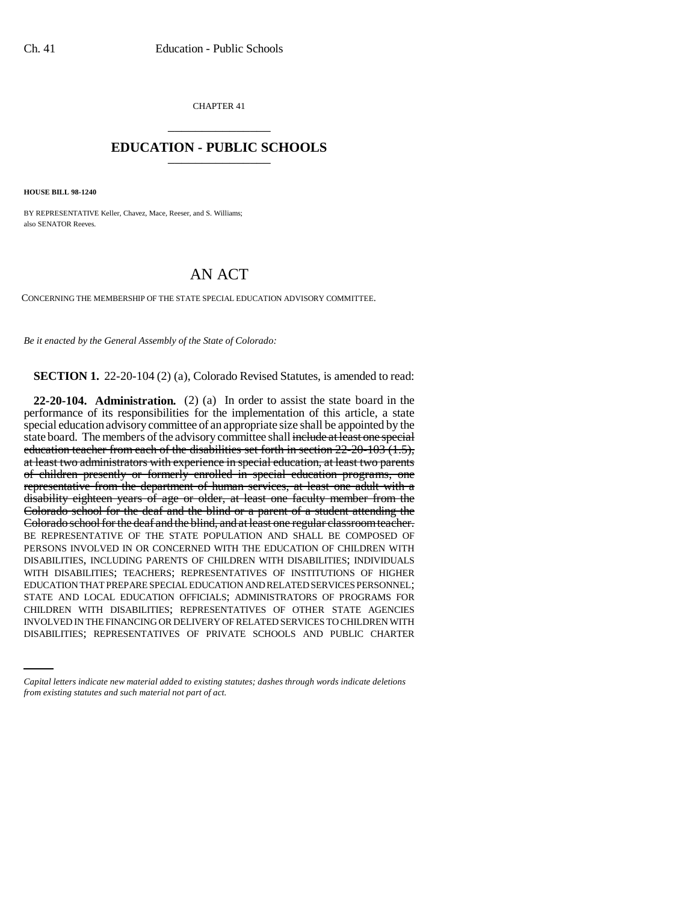CHAPTER 41 \_\_\_\_\_\_\_\_\_\_\_\_\_\_\_

## **EDUCATION - PUBLIC SCHOOLS** \_\_\_\_\_\_\_\_\_\_\_\_\_\_\_

**HOUSE BILL 98-1240**

BY REPRESENTATIVE Keller, Chavez, Mace, Reeser, and S. Williams; also SENATOR Reeves.

## AN ACT

CONCERNING THE MEMBERSHIP OF THE STATE SPECIAL EDUCATION ADVISORY COMMITTEE.

*Be it enacted by the General Assembly of the State of Colorado:*

**SECTION 1.** 22-20-104 (2) (a), Colorado Revised Statutes, is amended to read:

CHILDREN WITH DISABILITIES; REPRESENTATIVES OF OTHER STATE AGENCIES **22-20-104. Administration.** (2) (a) In order to assist the state board in the performance of its responsibilities for the implementation of this article, a state special education advisory committee of an appropriate size shall be appointed by the state board. The members of the advisory committee shall include at least one special education teacher from each of the disabilities set forth in section 22-20-103 (1.5), at least two administrators with experience in special education, at least two parents of children presently or formerly enrolled in special education programs, one representative from the department of human services, at least one adult with a disability eighteen years of age or older, at least one faculty member from the Colorado school for the deaf and the blind or a parent of a student attending the Colorado school for the deaf and the blind, and at least one regular classroom teacher. BE REPRESENTATIVE OF THE STATE POPULATION AND SHALL BE COMPOSED OF PERSONS INVOLVED IN OR CONCERNED WITH THE EDUCATION OF CHILDREN WITH DISABILITIES, INCLUDING PARENTS OF CHILDREN WITH DISABILITIES; INDIVIDUALS WITH DISABILITIES; TEACHERS; REPRESENTATIVES OF INSTITUTIONS OF HIGHER EDUCATION THAT PREPARE SPECIAL EDUCATION AND RELATED SERVICES PERSONNEL; STATE AND LOCAL EDUCATION OFFICIALS; ADMINISTRATORS OF PROGRAMS FOR INVOLVED IN THE FINANCING OR DELIVERY OF RELATED SERVICES TO CHILDREN WITH DISABILITIES; REPRESENTATIVES OF PRIVATE SCHOOLS AND PUBLIC CHARTER

*Capital letters indicate new material added to existing statutes; dashes through words indicate deletions from existing statutes and such material not part of act.*